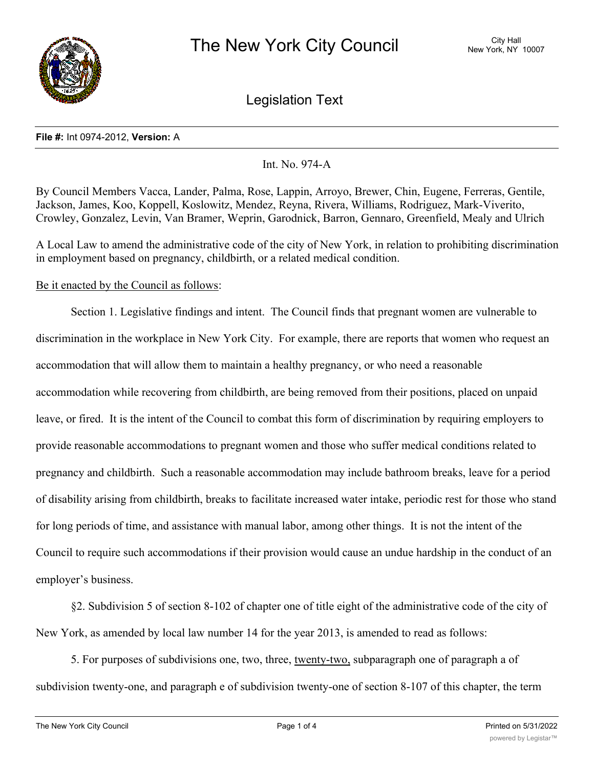

Legislation Text

#### **File #:** Int 0974-2012, **Version:** A

## Int. No. 974-A

By Council Members Vacca, Lander, Palma, Rose, Lappin, Arroyo, Brewer, Chin, Eugene, Ferreras, Gentile, Jackson, James, Koo, Koppell, Koslowitz, Mendez, Reyna, Rivera, Williams, Rodriguez, Mark-Viverito, Crowley, Gonzalez, Levin, Van Bramer, Weprin, Garodnick, Barron, Gennaro, Greenfield, Mealy and Ulrich

A Local Law to amend the administrative code of the city of New York, in relation to prohibiting discrimination in employment based on pregnancy, childbirth, or a related medical condition.

## Be it enacted by the Council as follows:

Section 1. Legislative findings and intent. The Council finds that pregnant women are vulnerable to discrimination in the workplace in New York City. For example, there are reports that women who request an accommodation that will allow them to maintain a healthy pregnancy, or who need a reasonable accommodation while recovering from childbirth, are being removed from their positions, placed on unpaid leave, or fired. It is the intent of the Council to combat this form of discrimination by requiring employers to provide reasonable accommodations to pregnant women and those who suffer medical conditions related to pregnancy and childbirth. Such a reasonable accommodation may include bathroom breaks, leave for a period of disability arising from childbirth, breaks to facilitate increased water intake, periodic rest for those who stand for long periods of time, and assistance with manual labor, among other things. It is not the intent of the Council to require such accommodations if their provision would cause an undue hardship in the conduct of an employer's business.

§2. Subdivision 5 of section 8-102 of chapter one of title eight of the administrative code of the city of New York, as amended by local law number 14 for the year 2013, is amended to read as follows:

5. For purposes of subdivisions one, two, three, twenty-two, subparagraph one of paragraph a of subdivision twenty-one, and paragraph e of subdivision twenty-one of section 8-107 of this chapter, the term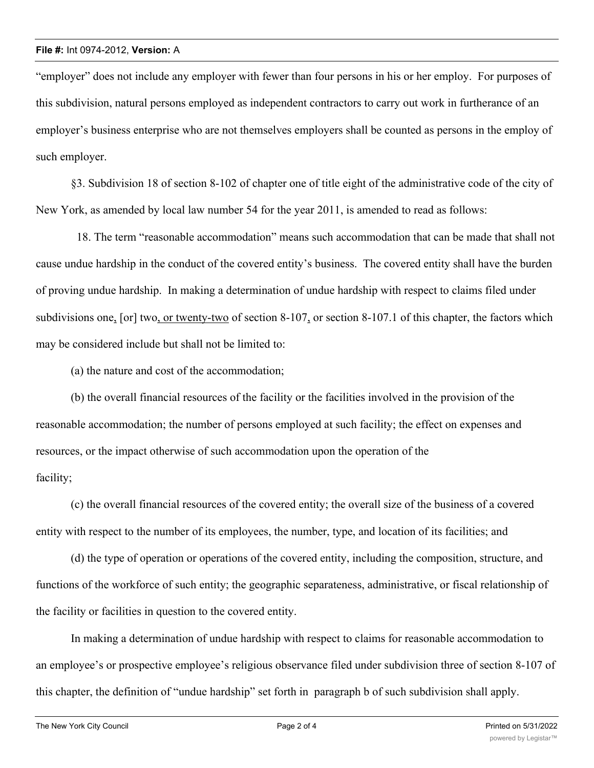"employer" does not include any employer with fewer than four persons in his or her employ. For purposes of this subdivision, natural persons employed as independent contractors to carry out work in furtherance of an employer's business enterprise who are not themselves employers shall be counted as persons in the employ of such employer.

§3. Subdivision 18 of section 8-102 of chapter one of title eight of the administrative code of the city of New York, as amended by local law number 54 for the year 2011, is amended to read as follows:

 18. The term "reasonable accommodation" means such accommodation that can be made that shall not cause undue hardship in the conduct of the covered entity's business. The covered entity shall have the burden of proving undue hardship. In making a determination of undue hardship with respect to claims filed under subdivisions one, [or] two, or twenty-two of section 8-107, or section 8-107.1 of this chapter, the factors which may be considered include but shall not be limited to:

(a) the nature and cost of the accommodation;

(b) the overall financial resources of the facility or the facilities involved in the provision of the reasonable accommodation; the number of persons employed at such facility; the effect on expenses and resources, or the impact otherwise of such accommodation upon the operation of the facility;

(c) the overall financial resources of the covered entity; the overall size of the business of a covered entity with respect to the number of its employees, the number, type, and location of its facilities; and

(d) the type of operation or operations of the covered entity, including the composition, structure, and functions of the workforce of such entity; the geographic separateness, administrative, or fiscal relationship of the facility or facilities in question to the covered entity.

In making a determination of undue hardship with respect to claims for reasonable accommodation to an employee's or prospective employee's religious observance filed under subdivision three of section 8-107 of this chapter, the definition of "undue hardship" set forth in paragraph b of such subdivision shall apply.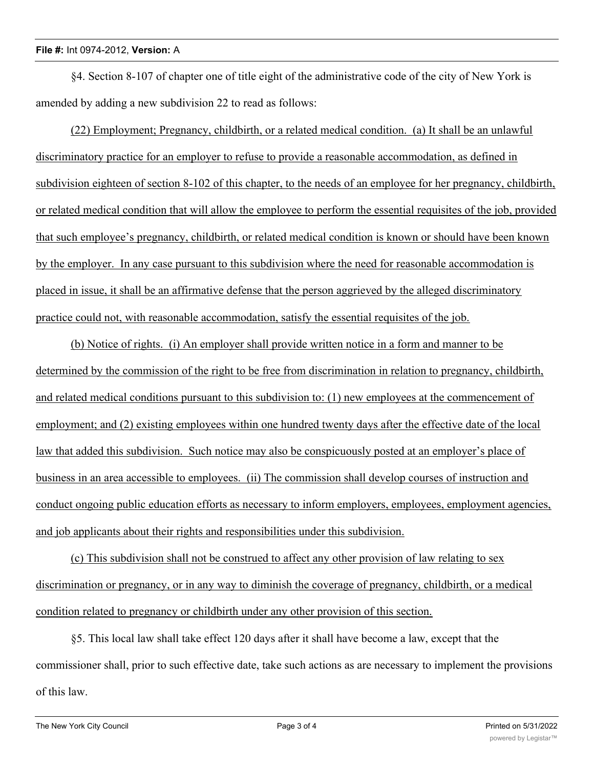#### **File #:** Int 0974-2012, **Version:** A

§4. Section 8-107 of chapter one of title eight of the administrative code of the city of New York is amended by adding a new subdivision 22 to read as follows:

(22) Employment; Pregnancy, childbirth, or a related medical condition. (a) It shall be an unlawful discriminatory practice for an employer to refuse to provide a reasonable accommodation, as defined in subdivision eighteen of section 8-102 of this chapter, to the needs of an employee for her pregnancy, childbirth, or related medical condition that will allow the employee to perform the essential requisites of the job, provided that such employee's pregnancy, childbirth, or related medical condition is known or should have been known by the employer. In any case pursuant to this subdivision where the need for reasonable accommodation is placed in issue, it shall be an affirmative defense that the person aggrieved by the alleged discriminatory practice could not, with reasonable accommodation, satisfy the essential requisites of the job.

(b) Notice of rights. (i) An employer shall provide written notice in a form and manner to be determined by the commission of the right to be free from discrimination in relation to pregnancy, childbirth, and related medical conditions pursuant to this subdivision to: (1) new employees at the commencement of employment; and (2) existing employees within one hundred twenty days after the effective date of the local law that added this subdivision. Such notice may also be conspicuously posted at an employer's place of business in an area accessible to employees. (ii) The commission shall develop courses of instruction and conduct ongoing public education efforts as necessary to inform employers, employees, employment agencies, and job applicants about their rights and responsibilities under this subdivision.

(c) This subdivision shall not be construed to affect any other provision of law relating to sex discrimination or pregnancy, or in any way to diminish the coverage of pregnancy, childbirth, or a medical condition related to pregnancy or childbirth under any other provision of this section.

§5. This local law shall take effect 120 days after it shall have become a law, except that the commissioner shall, prior to such effective date, take such actions as are necessary to implement the provisions of this law.